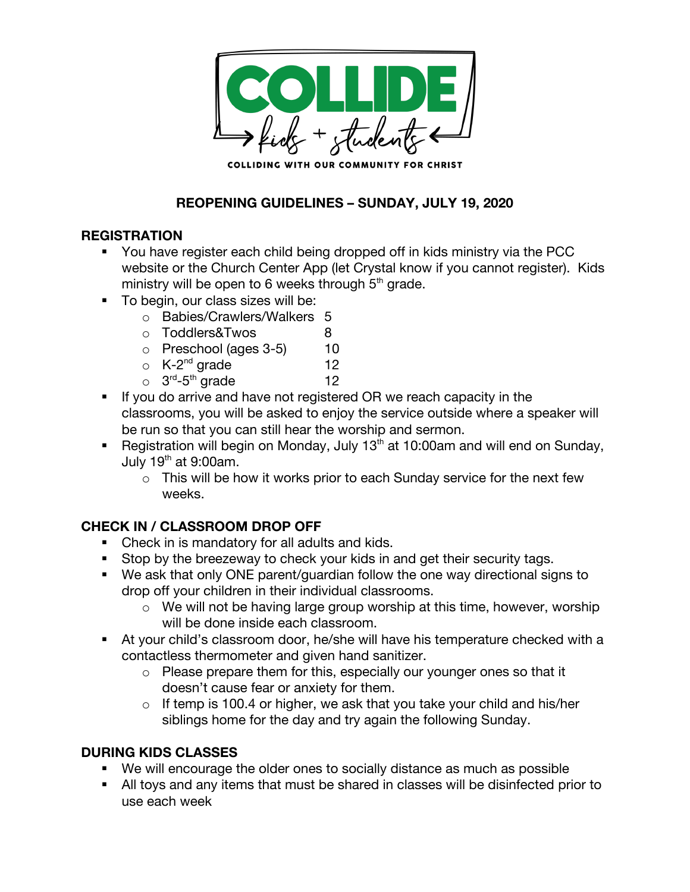

## **REOPENING GUIDELINES – SUNDAY, JULY 19, 2020**

### **REGISTRATION**

- § You have register each child being dropped off in kids ministry via the PCC website or the Church Center App (let Crystal know if you cannot register). Kids ministry will be open to 6 weeks through  $5<sup>th</sup>$  grade.
- To begin, our class sizes will be:
	- o Babies/Crawlers/Walkers 5
	- o Toddlers&Twos 8
	- $\circ$  Preschool (ages 3-5) 10
	- $\circ$  K-2<sup>nd</sup> grade 12
	- $\circ$  3<sup>rd</sup>-5<sup>th</sup> grade 12
- If you do arrive and have not registered OR we reach capacity in the classrooms, you will be asked to enjoy the service outside where a speaker will be run so that you can still hear the worship and sermon.
- **Registration will begin on Monday, July 13<sup>th</sup> at 10:00am and will end on Sunday,** July  $19<sup>th</sup>$  at 9:00am.
	- o This will be how it works prior to each Sunday service for the next few weeks.

# **CHECK IN / CLASSROOM DROP OFF**

- Check in is mandatory for all adults and kids.
- Stop by the breezeway to check your kids in and get their security tags.
- We ask that only ONE parent/guardian follow the one way directional signs to drop off your children in their individual classrooms.
	- o We will not be having large group worship at this time, however, worship will be done inside each classroom.
- § At your child's classroom door, he/she will have his temperature checked with a contactless thermometer and given hand sanitizer.
	- o Please prepare them for this, especially our younger ones so that it doesn't cause fear or anxiety for them.
	- $\circ$  If temp is 100.4 or higher, we ask that you take your child and his/her siblings home for the day and try again the following Sunday.

### **DURING KIDS CLASSES**

- We will encourage the older ones to socially distance as much as possible
- All toys and any items that must be shared in classes will be disinfected prior to use each week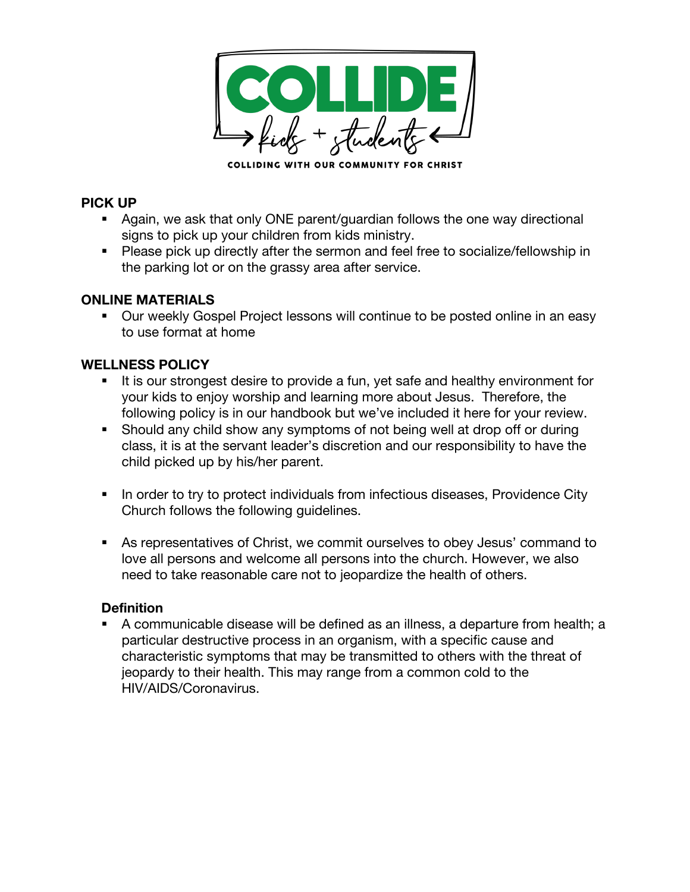

#### **PICK UP**

- Again, we ask that only ONE parent/guardian follows the one way directional signs to pick up your children from kids ministry.
- Please pick up directly after the sermon and feel free to socialize/fellowship in the parking lot or on the grassy area after service.

### **ONLINE MATERIALS**

■ Our weekly Gospel Project lessons will continue to be posted online in an easy to use format at home

### **WELLNESS POLICY**

- It is our strongest desire to provide a fun, yet safe and healthy environment for your kids to enjoy worship and learning more about Jesus. Therefore, the following policy is in our handbook but we've included it here for your review.
- Should any child show any symptoms of not being well at drop off or during class, it is at the servant leader's discretion and our responsibility to have the child picked up by his/her parent.
- In order to try to protect individuals from infectious diseases, Providence City Church follows the following guidelines.
- As representatives of Christ, we commit ourselves to obey Jesus' command to love all persons and welcome all persons into the church. However, we also need to take reasonable care not to jeopardize the health of others.

#### **Definition**

§ A communicable disease will be defined as an illness, a departure from health; a particular destructive process in an organism, with a specific cause and characteristic symptoms that may be transmitted to others with the threat of jeopardy to their health. This may range from a common cold to the HIV/AIDS/Coronavirus.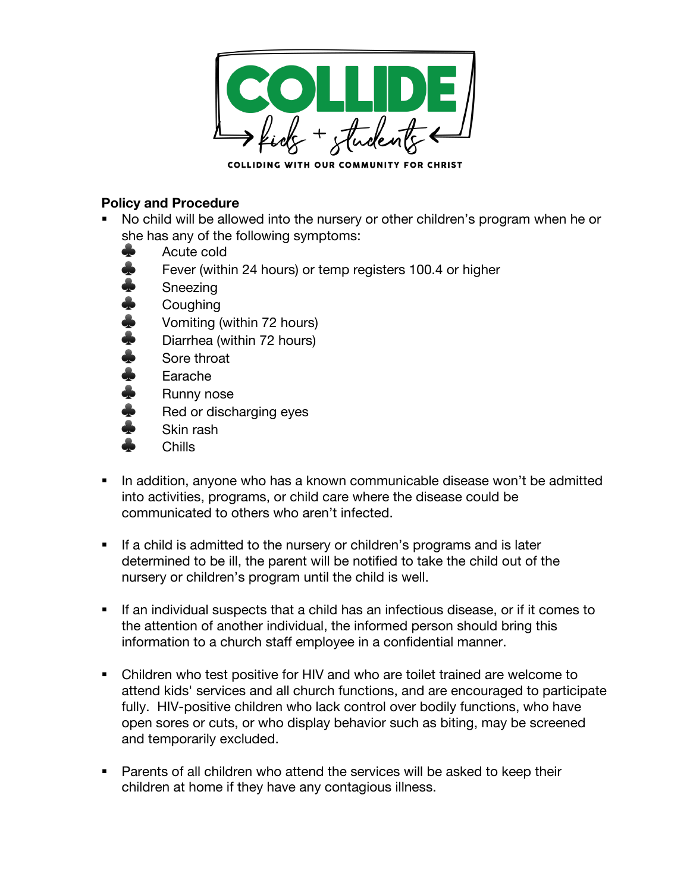

### **Policy and Procedure**

- No child will be allowed into the nursery or other children's program when he or she has any of the following symptoms:
	- ♣ Acute cold
	- Fever (within 24 hours) or temp registers 100.4 or higher
	- **Sneezing**
	- **Coughing**
	- ♣ Vomiting (within 72 hours)
	- Diarrhea (within 72 hours)
	- Sore throat
	- **Earache**
	- ♣ Runny nose
	- Red or discharging eyes
	- Skin rash
	- ♣ Chills
- § In addition, anyone who has a known communicable disease won't be admitted into activities, programs, or child care where the disease could be communicated to others who aren't infected.
- If a child is admitted to the nursery or children's programs and is later determined to be ill, the parent will be notified to take the child out of the nursery or children's program until the child is well.
- If an individual suspects that a child has an infectious disease, or if it comes to the attention of another individual, the informed person should bring this information to a church staff employee in a confidential manner.
- § Children who test positive for HIV and who are toilet trained are welcome to attend kids' services and all church functions, and are encouraged to participate fully. HIV-positive children who lack control over bodily functions, who have open sores or cuts, or who display behavior such as biting, may be screened and temporarily excluded.
- Parents of all children who attend the services will be asked to keep their children at home if they have any contagious illness.